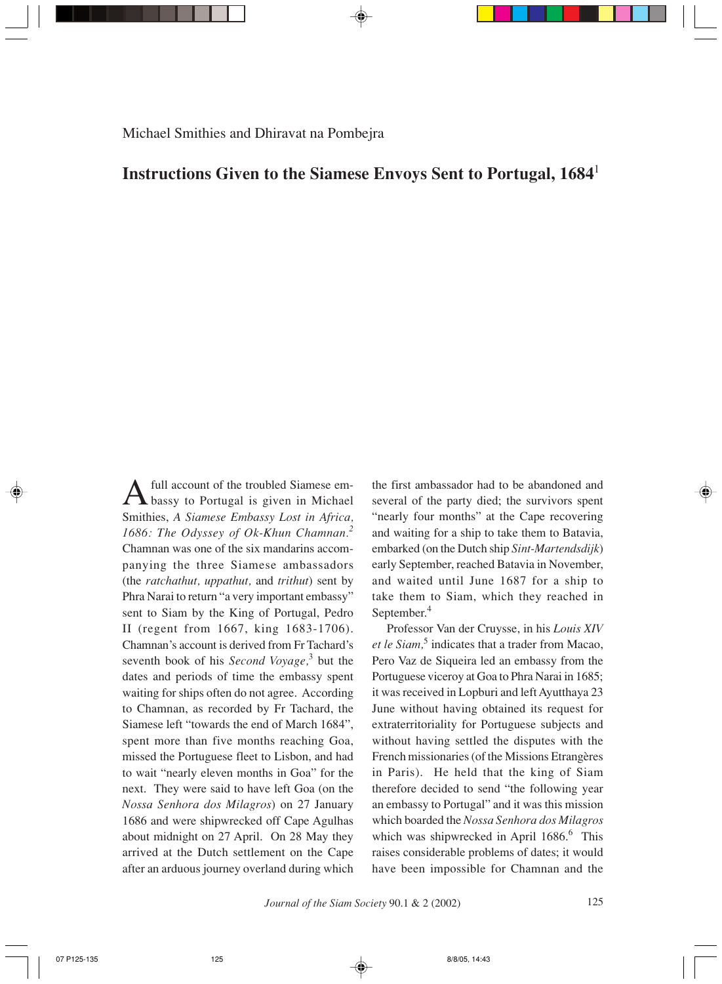Michael Smithies and Dhiravat na Pombejra

## **Instructions Given to the Siamese Envoys Sent to Portugal, 1684**<sup>1</sup>

A full account of the troubled Siamese em-<br>bassy to Portugal is given in Michael Smithies, *A Siamese Embassy Lost in Africa, 1686: The Odyssey of Ok-Khun Chamnan.<sup>2</sup>* Chamnan was one of the six mandarins accompanying the three Siamese ambassadors (the *ratchathut, uppathut,* and *trithut*) sent by Phra Narai to return "a very important embassy" sent to Siam by the King of Portugal, Pedro II (regent from 1667, king 1683-1706). Chamnan's account is derived from Fr Tachard's seventh book of his *Second Voyage,*<sup>3</sup> but the dates and periods of time the embassy spent waiting for ships often do not agree. According to Chamnan, as recorded by Fr Tachard, the Siamese left "towards the end of March 1684", spent more than five months reaching Goa, missed the Portuguese fleet to Lisbon, and had to wait "nearly eleven months in Goa" for the next. They were said to have left Goa (on the *Nossa Senhora dos Milagros*) on 27 January 1686 and were shipwrecked off Cape Agulhas about midnight on 27 April. On 28 May they arrived at the Dutch settlement on the Cape after an arduous journey overland during which

the first ambassador had to be abandoned and several of the party died; the survivors spent "nearly four months" at the Cape recovering and waiting for a ship to take them to Batavia, embarked (on the Dutch ship *Sint-Martendsdijk*) early September, reached Batavia in November, and waited until June 1687 for a ship to take them to Siam, which they reached in September.<sup>4</sup>

Professor Van der Cruysse, in his *Louis XIV* et le Siam,<sup>5</sup> indicates that a trader from Macao, Pero Vaz de Siqueira led an embassy from the Portuguese viceroy at Goa to Phra Narai in 1685; it was received in Lopburi and left Ayutthaya 23 June without having obtained its request for extraterritoriality for Portuguese subjects and without having settled the disputes with the French missionaries (of the Missions Etrangères in Paris). He held that the king of Siam therefore decided to send "the following year an embassy to Portugal" and it was this mission which boarded the *Nossa Senhora dos Milagros* which was shipwrecked in April 1686.<sup>6</sup> This raises considerable problems of dates; it would have been impossible for Chamnan and the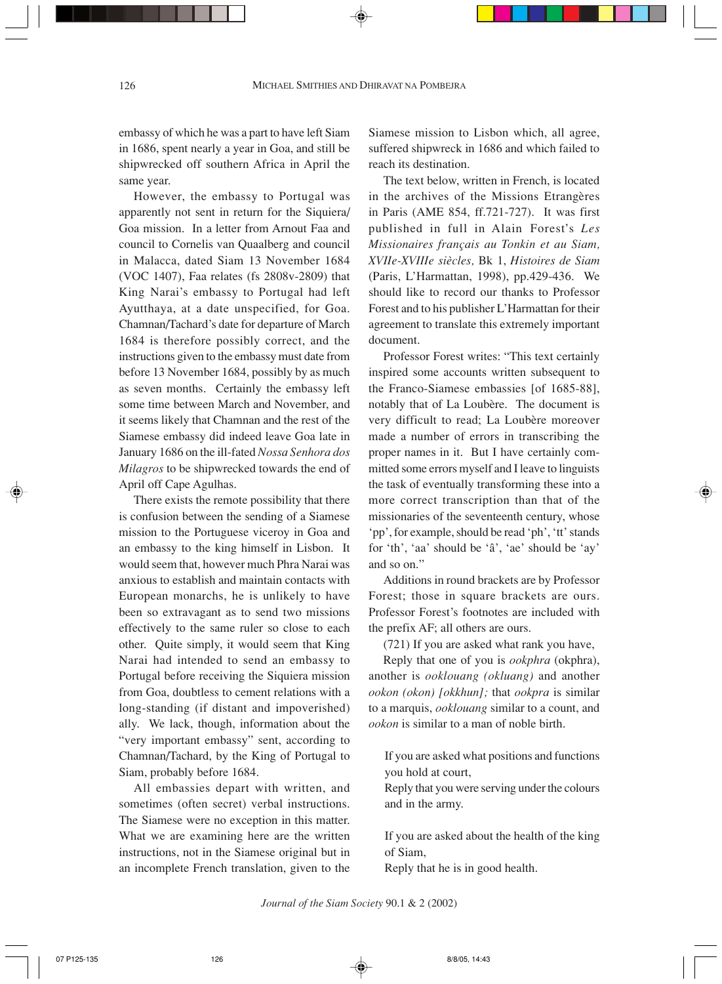embassy of which he was a part to have left Siam in 1686, spent nearly a year in Goa, and still be shipwrecked off southern Africa in April the same year.

However, the embassy to Portugal was apparently not sent in return for the Siquiera/ Goa mission. In a letter from Arnout Faa and council to Cornelis van Quaalberg and council in Malacca, dated Siam 13 November 1684 (VOC 1407), Faa relates (fs 2808v-2809) that King Narai's embassy to Portugal had left Ayutthaya, at a date unspecified, for Goa. Chamnan/Tachard's date for departure of March 1684 is therefore possibly correct, and the instructions given to the embassy must date from before 13 November 1684, possibly by as much as seven months. Certainly the embassy left some time between March and November, and it seems likely that Chamnan and the rest of the Siamese embassy did indeed leave Goa late in January 1686 on the ill-fated *Nossa Senhora dos Milagros* to be shipwrecked towards the end of April off Cape Agulhas.

There exists the remote possibility that there is confusion between the sending of a Siamese mission to the Portuguese viceroy in Goa and an embassy to the king himself in Lisbon. It would seem that, however much Phra Narai was anxious to establish and maintain contacts with European monarchs, he is unlikely to have been so extravagant as to send two missions effectively to the same ruler so close to each other. Quite simply, it would seem that King Narai had intended to send an embassy to Portugal before receiving the Siquiera mission from Goa, doubtless to cement relations with a long-standing (if distant and impoverished) ally. We lack, though, information about the "very important embassy" sent, according to Chamnan/Tachard, by the King of Portugal to Siam, probably before 1684.

All embassies depart with written, and sometimes (often secret) verbal instructions. The Siamese were no exception in this matter. What we are examining here are the written instructions, not in the Siamese original but in an incomplete French translation, given to the Siamese mission to Lisbon which, all agree, suffered shipwreck in 1686 and which failed to reach its destination.

The text below, written in French, is located in the archives of the Missions Etrangères in Paris (AME 854, ff.721-727). It was first published in full in Alain Forest's *Les Missionaires français au Tonkin et au Siam, XVIIe-XVIIIe siècles,* Bk 1, *Histoires de Siam* (Paris, L'Harmattan, 1998), pp.429-436. We should like to record our thanks to Professor Forest and to his publisher L'Harmattan for their agreement to translate this extremely important document.

Professor Forest writes: "This text certainly inspired some accounts written subsequent to the Franco-Siamese embassies [of 1685-88], notably that of La Loubère. The document is very difficult to read; La Loubère moreover made a number of errors in transcribing the proper names in it. But I have certainly committed some errors myself and I leave to linguists the task of eventually transforming these into a more correct transcription than that of the missionaries of the seventeenth century, whose 'pp', for example, should be read 'ph', 'tt' stands for 'th', 'aa' should be 'â', 'ae' should be 'ay' and so on."

Additions in round brackets are by Professor Forest; those in square brackets are ours. Professor Forest's footnotes are included with the prefix AF; all others are ours.

(721) If you are asked what rank you have,

Reply that one of you is *ookphra* (okphra), another is *ooklouang (okluang)* and another *ookon (okon) [okkhun];* that *ookpra* is similar to a marquis, *ooklouang* similar to a count, and *ookon* is similar to a man of noble birth.

If you are asked what positions and functions you hold at court,

Reply that you were serving under the colours and in the army.

If you are asked about the health of the king of Siam,

Reply that he is in good health.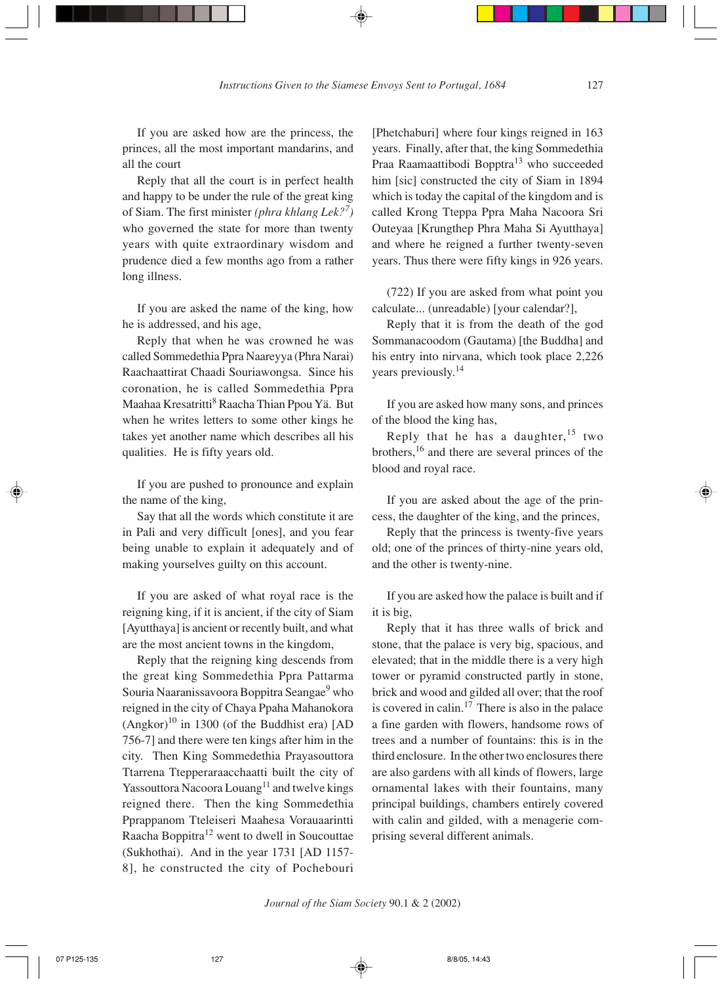If you are asked how are the princess, the princes, all the most important mandarins, and all the court

Reply that all the court is in perfect health and happy to be under the rule of the great king of Siam. The first minister *(phra khlang Lek?<sup>7</sup> )* who governed the state for more than twenty years with quite extraordinary wisdom and prudence died a few months ago from a rather long illness.

If you are asked the name of the king, how he is addressed, and his age,

Reply that when he was crowned he was called Sommedethia Ppra Naareyya (Phra Narai) Raachaattirat Chaadi Souriawongsa. Since his coronation, he is called Sommedethia Ppra Maahaa Kresatritti<sup>8</sup> Raacha Thian Ppou Yä. But when he writes letters to some other kings he takes yet another name which describes all his qualities. He is fifty years old.

If you are pushed to pronounce and explain the name of the king,

Say that all the words which constitute it are in Pali and very difficult [ones], and you fear being unable to explain it adequately and of making yourselves guilty on this account.

If you are asked of what royal race is the reigning king, if it is ancient, if the city of Siam [Ayutthaya] is ancient or recently built, and what are the most ancient towns in the kingdom,

Reply that the reigning king descends from the great king Sommedethia Ppra Pattarma Souria Naaranissavoora Boppitra Seangae<sup>9</sup> who reigned in the city of Chaya Ppaha Mahanokora  $(Angkor)^{10}$  in 1300 (of the Buddhist era) [AD 756-7] and there were ten kings after him in the city. Then King Sommedethia Prayasouttora Ttarrena Ttepperaraacchaatti built the city of Yassouttora Nacoora Louang<sup>11</sup> and twelve kings reigned there. Then the king Sommedethia Pprappanom Tteleiseri Maahesa Vorauaarintti Raacha Boppitra<sup>12</sup> went to dwell in Soucouttae (Sukhothai). And in the year 1731 [AD 1157- 8], he constructed the city of Pochebouri

[Phetchaburi] where four kings reigned in 163 years. Finally, after that, the king Sommedethia Praa Raamaattibodi Bopptra<sup>13</sup> who succeeded him [sic] constructed the city of Siam in 1894 which is today the capital of the kingdom and is called Krong Tteppa Ppra Maha Nacoora Sri Outeyaa [Krungthep Phra Maha Si Ayutthaya] and where he reigned a further twenty-seven years. Thus there were fifty kings in 926 years.

(722) If you are asked from what point you calculate... (unreadable) [your calendar?],

Reply that it is from the death of the god Sommanacoodom (Gautama) [the Buddha] and his entry into nirvana, which took place 2,226 years previously.14

If you are asked how many sons, and princes of the blood the king has,

Reply that he has a daughter,  $15$  two brothers,16 and there are several princes of the blood and royal race.

If you are asked about the age of the princess, the daughter of the king, and the princes,

Reply that the princess is twenty-five years old; one of the princes of thirty-nine years old, and the other is twenty-nine.

If you are asked how the palace is built and if it is big,

Reply that it has three walls of brick and stone, that the palace is very big, spacious, and elevated; that in the middle there is a very high tower or pyramid constructed partly in stone, brick and wood and gilded all over; that the roof is covered in calin.<sup>17</sup> There is also in the palace a fine garden with flowers, handsome rows of trees and a number of fountains: this is in the third enclosure. In the other two enclosures there are also gardens with all kinds of flowers, large ornamental lakes with their fountains, many principal buildings, chambers entirely covered with calin and gilded, with a menagerie comprising several different animals.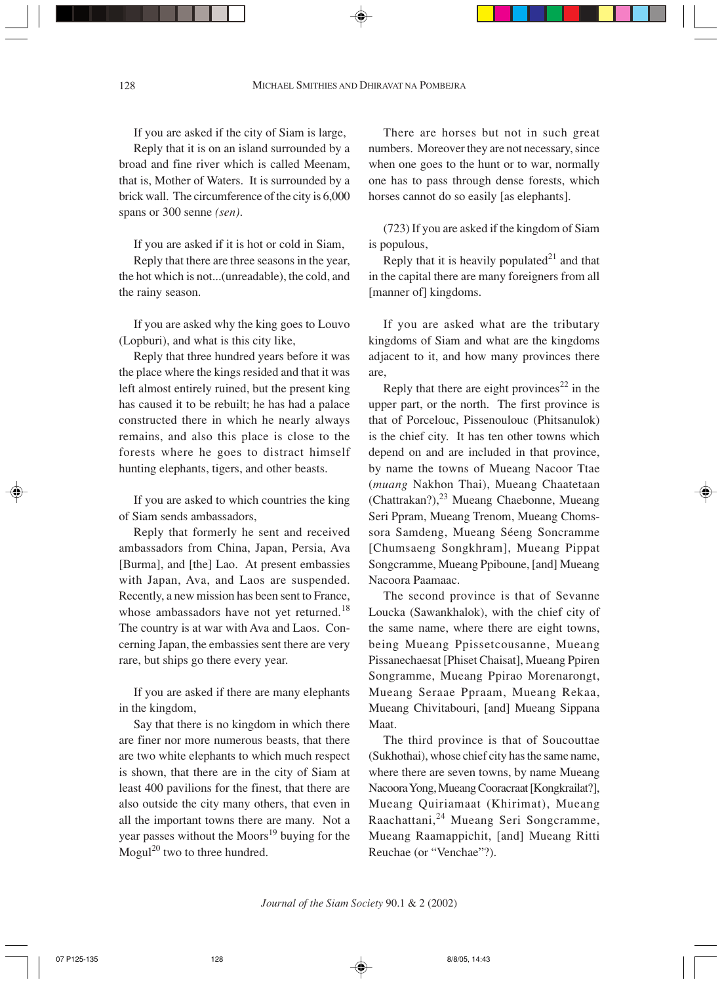If you are asked if the city of Siam is large,

Reply that it is on an island surrounded by a broad and fine river which is called Meenam, that is, Mother of Waters. It is surrounded by a brick wall. The circumference of the city is 6,000 spans or 300 senne *(sen)*.

If you are asked if it is hot or cold in Siam,

Reply that there are three seasons in the year, the hot which is not...(unreadable), the cold, and the rainy season.

If you are asked why the king goes to Louvo (Lopburi), and what is this city like,

Reply that three hundred years before it was the place where the kings resided and that it was left almost entirely ruined, but the present king has caused it to be rebuilt; he has had a palace constructed there in which he nearly always remains, and also this place is close to the forests where he goes to distract himself hunting elephants, tigers, and other beasts.

If you are asked to which countries the king of Siam sends ambassadors,

Reply that formerly he sent and received ambassadors from China, Japan, Persia, Ava [Burma], and [the] Lao. At present embassies with Japan, Ava, and Laos are suspended. Recently, a new mission has been sent to France, whose ambassadors have not yet returned.<sup>18</sup> The country is at war with Ava and Laos. Concerning Japan, the embassies sent there are very rare, but ships go there every year.

If you are asked if there are many elephants in the kingdom,

Say that there is no kingdom in which there are finer nor more numerous beasts, that there are two white elephants to which much respect is shown, that there are in the city of Siam at least 400 pavilions for the finest, that there are also outside the city many others, that even in all the important towns there are many. Not a year passes without the  $M$ oors<sup>19</sup> buying for the  $Mogul<sup>20</sup>$  two to three hundred.

There are horses but not in such great numbers. Moreover they are not necessary, since when one goes to the hunt or to war, normally one has to pass through dense forests, which horses cannot do so easily [as elephants].

(723) If you are asked if the kingdom of Siam is populous,

Reply that it is heavily populated $2<sup>1</sup>$  and that in the capital there are many foreigners from all [manner of] kingdoms.

If you are asked what are the tributary kingdoms of Siam and what are the kingdoms adjacent to it, and how many provinces there are,

Reply that there are eight provinces<sup>22</sup> in the upper part, or the north. The first province is that of Porcelouc, Pissenoulouc (Phitsanulok) is the chief city. It has ten other towns which depend on and are included in that province, by name the towns of Mueang Nacoor Ttae (*muang* Nakhon Thai), Mueang Chaatetaan  $(Chattrakan?)<sup>23</sup> Mueang Chaebonne, Mueang$ Seri Ppram, Mueang Trenom, Mueang Chomssora Samdeng, Mueang Séeng Soncramme [Chumsaeng Songkhram], Mueang Pippat Songcramme, Mueang Ppiboune, [and] Mueang Nacoora Paamaac.

The second province is that of Sevanne Loucka (Sawankhalok), with the chief city of the same name, where there are eight towns, being Mueang Ppissetcousanne, Mueang Pissanechaesat [Phiset Chaisat], Mueang Ppiren Songramme, Mueang Ppirao Morenarongt, Mueang Seraae Ppraam, Mueang Rekaa, Mueang Chivitabouri, [and] Mueang Sippana Maat.

The third province is that of Soucouttae (Sukhothai), whose chief city has the same name, where there are seven towns, by name Mueang Nacoora Yong, Mueang Cooracraat [Kongkrailat?], Mueang Quiriamaat (Khirimat), Mueang Raachattani,24 Mueang Seri Songcramme, Mueang Raamappichit, [and] Mueang Ritti Reuchae (or "Venchae"?).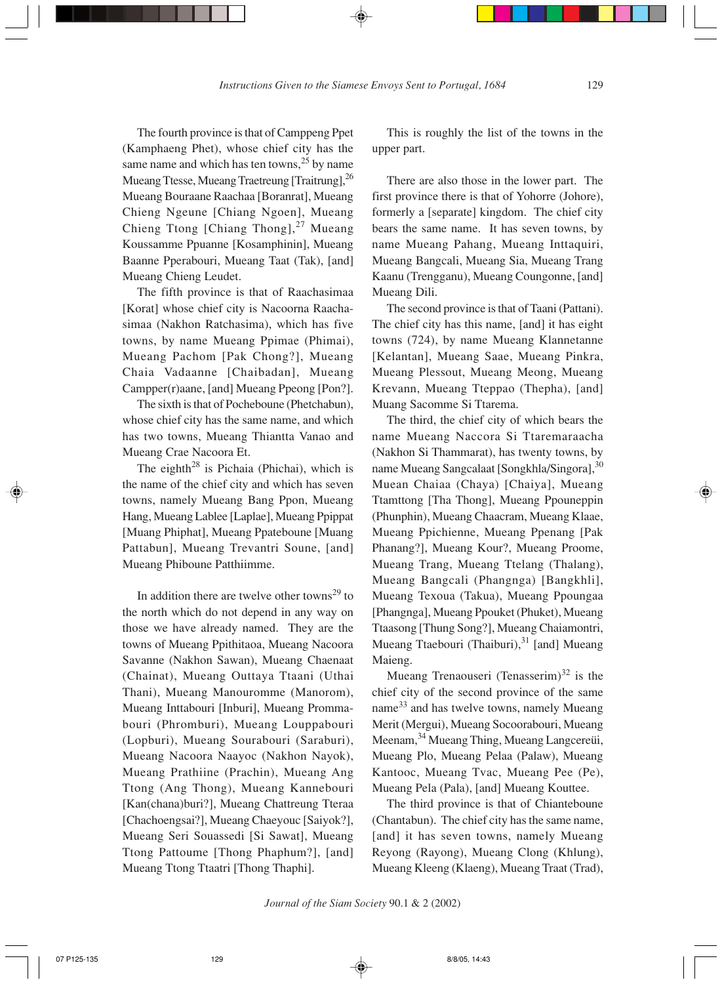The fourth province is that of Camppeng Ppet (Kamphaeng Phet), whose chief city has the same name and which has ten towns,  $2<sup>5</sup>$  by name Mueang Ttesse, Mueang Traetreung [Traitrung],<sup>26</sup> Mueang Bouraane Raachaa [Boranrat], Mueang Chieng Ngeune [Chiang Ngoen], Mueang Chieng Ttong [Chiang Thong], $^{27}$  Mueang Koussamme Ppuanne [Kosamphinin], Mueang Baanne Pperabouri, Mueang Taat (Tak), [and] Mueang Chieng Leudet.

The fifth province is that of Raachasimaa [Korat] whose chief city is Nacoorna Raachasimaa (Nakhon Ratchasima), which has five towns, by name Mueang Ppimae (Phimai), Mueang Pachom [Pak Chong?], Mueang Chaia Vadaanne [Chaibadan], Mueang Campper(r)aane, [and] Mueang Ppeong [Pon?].

The sixth is that of Pocheboune (Phetchabun), whose chief city has the same name, and which has two towns, Mueang Thiantta Vanao and Mueang Crae Nacoora Et.

The eighth<sup>28</sup> is Pichaia (Phichai), which is the name of the chief city and which has seven towns, namely Mueang Bang Ppon, Mueang Hang, Mueang Lablee [Laplae], Mueang Ppippat [Muang Phiphat], Mueang Ppateboune [Muang Pattabun], Mueang Trevantri Soune, [and] Mueang Phiboune Patthiimme.

In addition there are twelve other towns<sup>29</sup> to the north which do not depend in any way on those we have already named. They are the towns of Mueang Ppithitaoa, Mueang Nacoora Savanne (Nakhon Sawan), Mueang Chaenaat (Chainat), Mueang Outtaya Ttaani (Uthai Thani), Mueang Manouromme (Manorom), Mueang Inttabouri [Inburi], Mueang Prommabouri (Phromburi), Mueang Louppabouri (Lopburi), Mueang Sourabouri (Saraburi), Mueang Nacoora Naayoc (Nakhon Nayok), Mueang Prathiine (Prachin), Mueang Ang Ttong (Ang Thong), Mueang Kannebouri [Kan(chana)buri?], Mueang Chattreung Tteraa [Chachoengsai?], Mueang Chaeyouc [Saiyok?], Mueang Seri Souassedi [Si Sawat], Mueang Ttong Pattoume [Thong Phaphum?], [and] Mueang Ttong Ttaatri [Thong Thaphi].

This is roughly the list of the towns in the upper part.

There are also those in the lower part. The first province there is that of Yohorre (Johore), formerly a [separate] kingdom. The chief city bears the same name. It has seven towns, by name Mueang Pahang, Mueang Inttaquiri, Mueang Bangcali, Mueang Sia, Mueang Trang Kaanu (Trengganu), Mueang Coungonne, [and] Mueang Dili.

The second province is that of Taani (Pattani). The chief city has this name, [and] it has eight towns (724), by name Mueang Klannetanne [Kelantan], Mueang Saae, Mueang Pinkra, Mueang Plessout, Mueang Meong, Mueang Krevann, Mueang Tteppao (Thepha), [and] Muang Sacomme Si Ttarema.

The third, the chief city of which bears the name Mueang Naccora Si Ttaremaraacha (Nakhon Si Thammarat), has twenty towns, by name Mueang Sangcalaat [Songkhla/Singora],<sup>30</sup> Muean Chaiaa (Chaya) [Chaiya], Mueang Ttamttong [Tha Thong], Mueang Ppouneppin (Phunphin), Mueang Chaacram, Mueang Klaae, Mueang Ppichienne, Mueang Ppenang [Pak Phanang?], Mueang Kour?, Mueang Proome, Mueang Trang, Mueang Ttelang (Thalang), Mueang Bangcali (Phangnga) [Bangkhli], Mueang Texoua (Takua), Mueang Ppoungaa [Phangnga], Mueang Ppouket (Phuket), Mueang Ttaasong [Thung Song?], Mueang Chaiamontri, Mueang Ttaebouri (Thaiburi), $31$  [and] Mueang Maieng.

Mueang Trenaouseri (Tenasserim)<sup>32</sup> is the chief city of the second province of the same name<sup>33</sup> and has twelve towns, namely Mueang Merit (Mergui), Mueang Socoorabouri, Mueang Meenam,<sup>34</sup> Mueang Thing, Mueang Langcereüi, Mueang Plo, Mueang Pelaa (Palaw), Mueang Kantooc, Mueang Tvac, Mueang Pee (Pe), Mueang Pela (Pala), [and] Mueang Kouttee.

The third province is that of Chianteboune (Chantabun). The chief city has the same name, [and] it has seven towns, namely Mueang Reyong (Rayong), Mueang Clong (Khlung), Mueang Kleeng (Klaeng), Mueang Traat (Trad),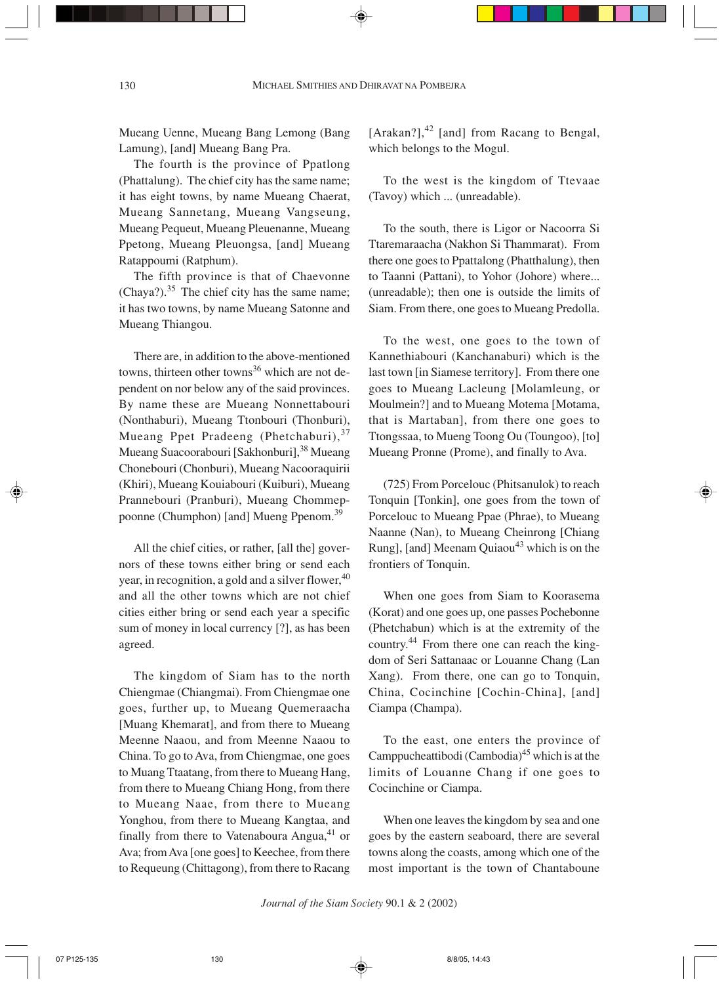Mueang Uenne, Mueang Bang Lemong (Bang Lamung), [and] Mueang Bang Pra.

The fourth is the province of Ppatlong (Phattalung). The chief city has the same name; it has eight towns, by name Mueang Chaerat, Mueang Sannetang, Mueang Vangseung, Mueang Pequeut, Mueang Pleuenanne, Mueang Ppetong, Mueang Pleuongsa, [and] Mueang Ratappoumi (Ratphum).

The fifth province is that of Chaevonne  $(Chaya?)$ .<sup>35</sup> The chief city has the same name; it has two towns, by name Mueang Satonne and Mueang Thiangou.

There are, in addition to the above-mentioned towns, thirteen other towns<sup>36</sup> which are not dependent on nor below any of the said provinces. By name these are Mueang Nonnettabouri (Nonthaburi), Mueang Ttonbouri (Thonburi), Mueang Ppet Pradeeng (Phetchaburi),  $37$ Mueang Suacoorabouri [Sakhonburi],<sup>38</sup> Mueang Chonebouri (Chonburi), Mueang Nacooraquirii (Khiri), Mueang Kouiabouri (Kuiburi), Mueang Prannebouri (Pranburi), Mueang Chommeppoonne (Chumphon) [and] Mueng Ppenom.<sup>39</sup>

All the chief cities, or rather, [all the] governors of these towns either bring or send each year, in recognition, a gold and a silver flower,  $40$ and all the other towns which are not chief cities either bring or send each year a specific sum of money in local currency [?], as has been agreed.

The kingdom of Siam has to the north Chiengmae (Chiangmai). From Chiengmae one goes, further up, to Mueang Quemeraacha [Muang Khemarat], and from there to Mueang Meenne Naaou, and from Meenne Naaou to China. To go to Ava, from Chiengmae, one goes to Muang Ttaatang, from there to Mueang Hang, from there to Mueang Chiang Hong, from there to Mueang Naae, from there to Mueang Yonghou, from there to Mueang Kangtaa, and finally from there to Vatenaboura Angua, $41$  or Ava; from Ava [one goes] to Keechee, from there to Requeung (Chittagong), from there to Racang [Arakan?], $^{42}$  [and] from Racang to Bengal, which belongs to the Mogul.

To the west is the kingdom of Ttevaae (Tavoy) which ... (unreadable).

To the south, there is Ligor or Nacoorra Si Ttaremaraacha (Nakhon Si Thammarat). From there one goes to Ppattalong (Phatthalung), then to Taanni (Pattani), to Yohor (Johore) where... (unreadable); then one is outside the limits of Siam. From there, one goes to Mueang Predolla.

To the west, one goes to the town of Kannethiabouri (Kanchanaburi) which is the last town [in Siamese territory]. From there one goes to Mueang Lacleung [Molamleung, or Moulmein?] and to Mueang Motema [Motama, that is Martaban], from there one goes to Ttongssaa, to Mueng Toong Ou (Toungoo), [to] Mueang Pronne (Prome), and finally to Ava.

(725) From Porcelouc (Phitsanulok) to reach Tonquin [Tonkin], one goes from the town of Porcelouc to Mueang Ppae (Phrae), to Mueang Naanne (Nan), to Mueang Cheinrong [Chiang Rung], [and] Meenam Quiaou<sup>43</sup> which is on the frontiers of Tonquin.

When one goes from Siam to Koorasema (Korat) and one goes up, one passes Pochebonne (Phetchabun) which is at the extremity of the country.44 From there one can reach the kingdom of Seri Sattanaac or Louanne Chang (Lan Xang). From there, one can go to Tonquin, China, Cocinchine [Cochin-China], [and] Ciampa (Champa).

To the east, one enters the province of Camppucheattibodi (Cambodia) $45$  which is at the limits of Louanne Chang if one goes to Cocinchine or Ciampa.

When one leaves the kingdom by sea and one goes by the eastern seaboard, there are several towns along the coasts, among which one of the most important is the town of Chantaboune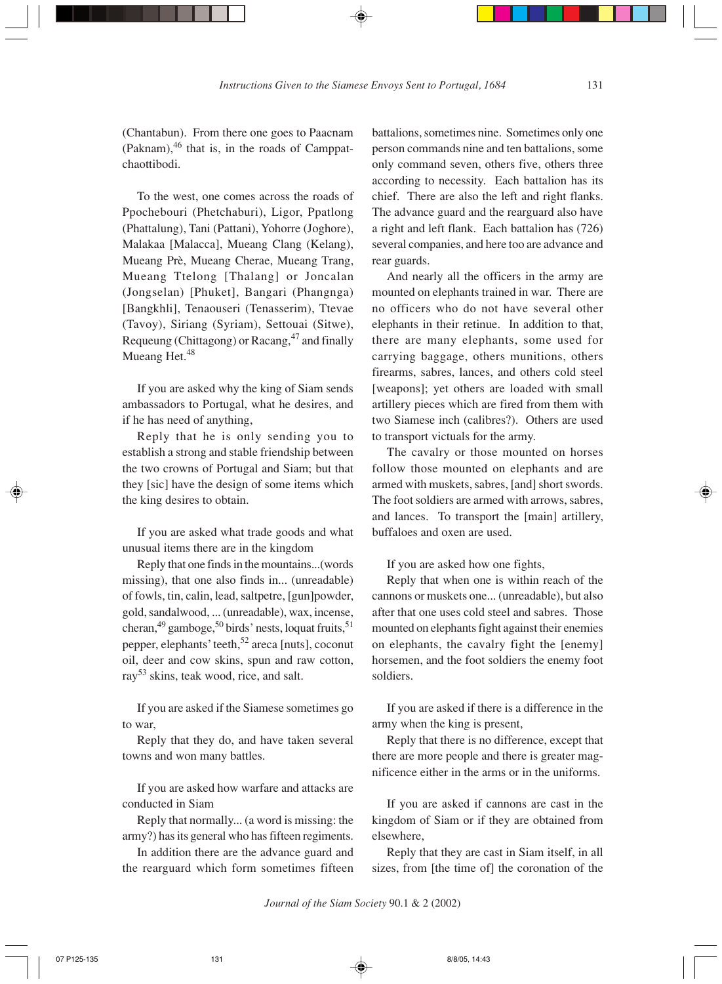(Chantabun). From there one goes to Paacnam  $(Paknam)$ ,  $46$  that is, in the roads of Camppatchaottibodi.

To the west, one comes across the roads of Ppochebouri (Phetchaburi), Ligor, Ppatlong (Phattalung), Tani (Pattani), Yohorre (Joghore), Malakaa [Malacca], Mueang Clang (Kelang), Mueang Prè, Mueang Cherae, Mueang Trang, Mueang Ttelong [Thalang] or Joncalan (Jongselan) [Phuket], Bangari (Phangnga) [Bangkhli], Tenaouseri (Tenasserim), Ttevae (Tavoy), Siriang (Syriam), Settouai (Sitwe), Requeung (Chittagong) or Racang,<sup>47</sup> and finally Mueang Het.<sup>48</sup>

If you are asked why the king of Siam sends ambassadors to Portugal, what he desires, and if he has need of anything,

Reply that he is only sending you to establish a strong and stable friendship between the two crowns of Portugal and Siam; but that they [sic] have the design of some items which the king desires to obtain.

If you are asked what trade goods and what unusual items there are in the kingdom

Reply that one finds in the mountains...(words missing), that one also finds in... (unreadable) of fowls, tin, calin, lead, saltpetre, [gun]powder, gold, sandalwood, ... (unreadable), wax, incense, cheran, $^{49}$  gamboge, $^{50}$  birds' nests, loquat fruits, $^{51}$ pepper, elephants' teeth,<sup>52</sup> areca [nuts], coconut oil, deer and cow skins, spun and raw cotton, ray<sup>53</sup> skins, teak wood, rice, and salt.

If you are asked if the Siamese sometimes go to war,

Reply that they do, and have taken several towns and won many battles.

If you are asked how warfare and attacks are conducted in Siam

Reply that normally... (a word is missing: the army?) has its general who has fifteen regiments.

In addition there are the advance guard and the rearguard which form sometimes fifteen

battalions, sometimes nine. Sometimes only one person commands nine and ten battalions, some only command seven, others five, others three according to necessity. Each battalion has its chief. There are also the left and right flanks. The advance guard and the rearguard also have a right and left flank. Each battalion has (726) several companies, and here too are advance and rear guards.

And nearly all the officers in the army are mounted on elephants trained in war. There are no officers who do not have several other elephants in their retinue. In addition to that, there are many elephants, some used for carrying baggage, others munitions, others firearms, sabres, lances, and others cold steel [weapons]; yet others are loaded with small artillery pieces which are fired from them with two Siamese inch (calibres?). Others are used to transport victuals for the army.

The cavalry or those mounted on horses follow those mounted on elephants and are armed with muskets, sabres, [and] short swords. The foot soldiers are armed with arrows, sabres, and lances. To transport the [main] artillery, buffaloes and oxen are used.

If you are asked how one fights,

Reply that when one is within reach of the cannons or muskets one... (unreadable), but also after that one uses cold steel and sabres. Those mounted on elephants fight against their enemies on elephants, the cavalry fight the [enemy] horsemen, and the foot soldiers the enemy foot soldiers.

If you are asked if there is a difference in the army when the king is present,

Reply that there is no difference, except that there are more people and there is greater magnificence either in the arms or in the uniforms.

If you are asked if cannons are cast in the kingdom of Siam or if they are obtained from elsewhere,

Reply that they are cast in Siam itself, in all sizes, from [the time of] the coronation of the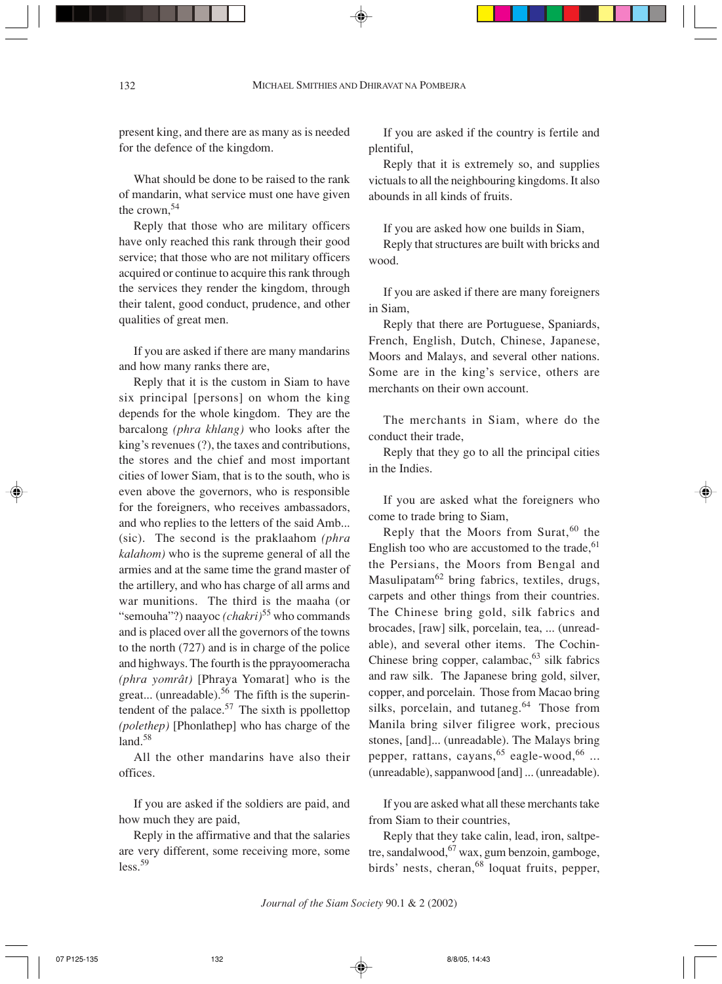present king, and there are as many as is needed for the defence of the kingdom.

What should be done to be raised to the rank of mandarin, what service must one have given the crown. $54$ 

Reply that those who are military officers have only reached this rank through their good service; that those who are not military officers acquired or continue to acquire this rank through the services they render the kingdom, through their talent, good conduct, prudence, and other qualities of great men.

If you are asked if there are many mandarins and how many ranks there are,

Reply that it is the custom in Siam to have six principal [persons] on whom the king depends for the whole kingdom. They are the barcalong *(phra khlang)* who looks after the king's revenues (?), the taxes and contributions, the stores and the chief and most important cities of lower Siam, that is to the south, who is even above the governors, who is responsible for the foreigners, who receives ambassadors, and who replies to the letters of the said Amb... (sic). The second is the praklaahom *(phra kalahom)* who is the supreme general of all the armies and at the same time the grand master of the artillery, and who has charge of all arms and war munitions. The third is the maaha (or "semouha"?) naayoc *(chakri)*55 who commands and is placed over all the governors of the towns to the north (727) and is in charge of the police and highways. The fourth is the pprayoomeracha *(phra yomrât)* [Phraya Yomarat] who is the great... (unreadable). $56$  The fifth is the superintendent of the palace.<sup>57</sup> The sixth is ppollettop *(polethep)* [Phonlathep] who has charge of the  $land.<sup>58</sup>$ 

All the other mandarins have also their offices.

If you are asked if the soldiers are paid, and how much they are paid,

Reply in the affirmative and that the salaries are very different, some receiving more, some  $less.<sup>59</sup>$ 

If you are asked if the country is fertile and plentiful,

Reply that it is extremely so, and supplies victuals to all the neighbouring kingdoms. It also abounds in all kinds of fruits.

If you are asked how one builds in Siam, Reply that structures are built with bricks and wood.

If you are asked if there are many foreigners in Siam,

Reply that there are Portuguese, Spaniards, French, English, Dutch, Chinese, Japanese, Moors and Malays, and several other nations. Some are in the king's service, others are merchants on their own account.

The merchants in Siam, where do the conduct their trade,

Reply that they go to all the principal cities in the Indies.

If you are asked what the foreigners who come to trade bring to Siam,

Reply that the Moors from Surat,  $60$  the English too who are accustomed to the trade,  $61$ the Persians, the Moors from Bengal and Masulipatam $62$  bring fabrics, textiles, drugs, carpets and other things from their countries. The Chinese bring gold, silk fabrics and brocades, [raw] silk, porcelain, tea, ... (unreadable), and several other items. The Cochin-Chinese bring copper, calambac,  $63$  silk fabrics and raw silk. The Japanese bring gold, silver, copper, and porcelain. Those from Macao bring silks, porcelain, and tutaneg. $64$  Those from Manila bring silver filigree work, precious stones, [and]... (unreadable). The Malays bring pepper, rattans, cayans,  $65$  eagle-wood,  $66$  ... (unreadable), sappanwood [and] ... (unreadable).

If you are asked what all these merchants take from Siam to their countries,

Reply that they take calin, lead, iron, saltpetre, sandalwood,  $67$  wax, gum benzoin, gamboge, birds' nests, cheran, <sup>68</sup> loquat fruits, pepper,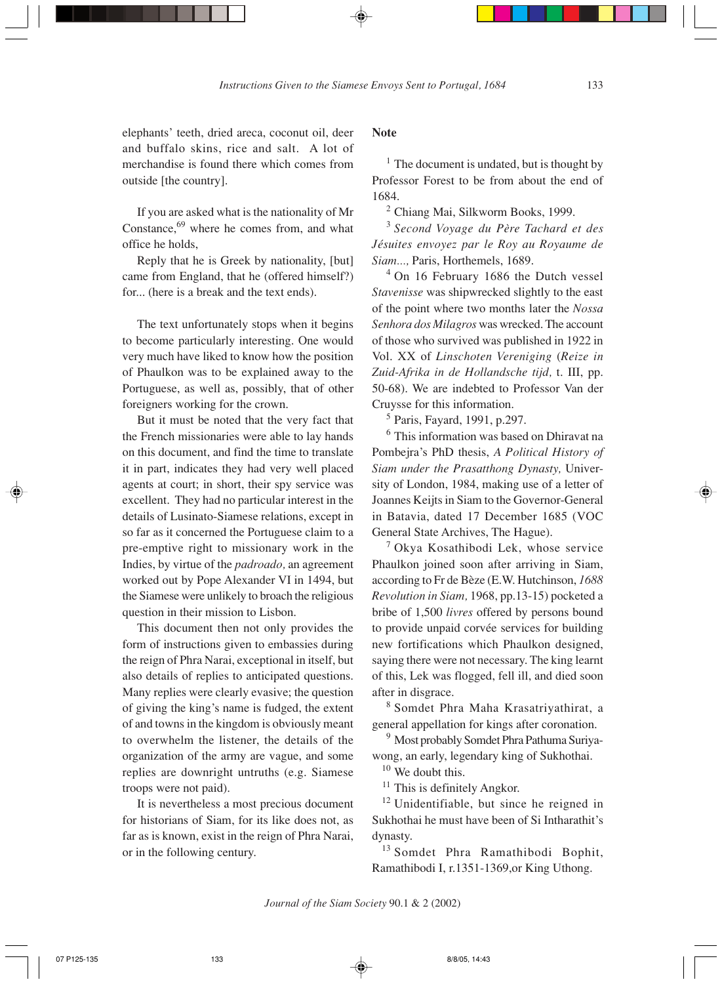elephants' teeth, dried areca, coconut oil, deer and buffalo skins, rice and salt. A lot of merchandise is found there which comes from outside [the country].

If you are asked what is the nationality of Mr Constance, $69$  where he comes from, and what office he holds,

Reply that he is Greek by nationality, [but] came from England, that he (offered himself?) for... (here is a break and the text ends).

The text unfortunately stops when it begins to become particularly interesting. One would very much have liked to know how the position of Phaulkon was to be explained away to the Portuguese, as well as, possibly, that of other foreigners working for the crown.

But it must be noted that the very fact that the French missionaries were able to lay hands on this document, and find the time to translate it in part, indicates they had very well placed agents at court; in short, their spy service was excellent. They had no particular interest in the details of Lusinato-Siamese relations, except in so far as it concerned the Portuguese claim to a pre-emptive right to missionary work in the Indies, by virtue of the *padroado,* an agreement worked out by Pope Alexander VI in 1494, but the Siamese were unlikely to broach the religious question in their mission to Lisbon.

This document then not only provides the form of instructions given to embassies during the reign of Phra Narai, exceptional in itself, but also details of replies to anticipated questions. Many replies were clearly evasive; the question of giving the king's name is fudged, the extent of and towns in the kingdom is obviously meant to overwhelm the listener, the details of the organization of the army are vague, and some replies are downright untruths (e.g. Siamese troops were not paid).

It is nevertheless a most precious document for historians of Siam, for its like does not, as far as is known, exist in the reign of Phra Narai, or in the following century.

## **Note**

 $<sup>1</sup>$  The document is undated, but is thought by</sup> Professor Forest to be from about the end of 1684.

<sup>2</sup> Chiang Mai, Silkworm Books, 1999.

<sup>3</sup> *Second Voyage du Père Tachard et des Jésuites envoyez par le Roy au Royaume de Siam...,* Paris, Horthemels, 1689.

<sup>4</sup> On 16 February 1686 the Dutch vessel *Stavenisse* was shipwrecked slightly to the east of the point where two months later the *Nossa Senhora dos Milagros* was wrecked. The account of those who survived was published in 1922 in Vol. XX of *Linschoten Vereniging* (*Reize in Zuid-Afrika in de Hollandsche tijd,* t. III, pp. 50-68). We are indebted to Professor Van der Cruysse for this information.

<sup>5</sup> Paris, Fayard, 1991, p.297.

<sup>6</sup> This information was based on Dhiravat na Pombejra's PhD thesis, *A Political History of Siam under the Prasatthong Dynasty,* University of London, 1984, making use of a letter of Joannes Keijts in Siam to the Governor-General in Batavia, dated 17 December 1685 (VOC General State Archives, The Hague).

<sup>7</sup> Okya Kosathibodi Lek, whose service Phaulkon joined soon after arriving in Siam, according to Fr de Bèze (E.W. Hutchinson, *1688 Revolution in Siam,* 1968, pp.13-15) pocketed a bribe of 1,500 *livres* offered by persons bound to provide unpaid corvée services for building new fortifications which Phaulkon designed, saying there were not necessary. The king learnt of this, Lek was flogged, fell ill, and died soon after in disgrace.

<sup>8</sup> Somdet Phra Maha Krasatriyathirat, a general appellation for kings after coronation.

<sup>9</sup> Most probably Somdet Phra Pathuma Suriyawong, an early, legendary king of Sukhothai.

<sup>10</sup> We doubt this.

 $11$  This is definitely Angkor.

 $12$  Unidentifiable, but since he reigned in Sukhothai he must have been of Si Intharathit's dynasty.

<sup>13</sup> Somdet Phra Ramathibodi Bophit, Ramathibodi I, r.1351-1369,or King Uthong.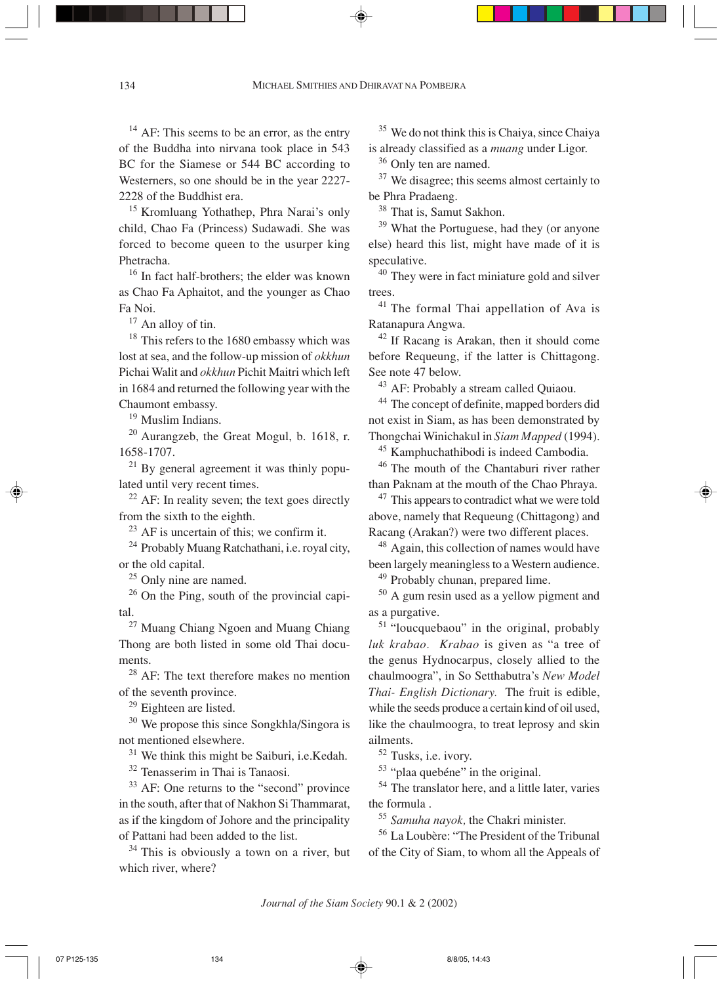$14$  AF: This seems to be an error, as the entry of the Buddha into nirvana took place in 543 BC for the Siamese or 544 BC according to Westerners, so one should be in the year 2227- 2228 of the Buddhist era.

<sup>15</sup> Kromluang Yothathep, Phra Narai's only child, Chao Fa (Princess) Sudawadi. She was forced to become queen to the usurper king Phetracha.

<sup>16</sup> In fact half-brothers; the elder was known as Chao Fa Aphaitot, and the younger as Chao Fa Noi.

<sup>17</sup> An alloy of tin.

<sup>18</sup> This refers to the 1680 embassy which was lost at sea, and the follow-up mission of *okkhun* Pichai Walit and *okkhun* Pichit Maitri which left in 1684 and returned the following year with the Chaumont embassy.

<sup>19</sup> Muslim Indians.

 $20$  Aurangzeb, the Great Mogul, b. 1618, r. 1658-1707.

 $21$  By general agreement it was thinly populated until very recent times.

 $22$  AF: In reality seven; the text goes directly from the sixth to the eighth.

 $23$  AF is uncertain of this; we confirm it.

<sup>24</sup> Probably Muang Ratchathani, i.e. royal city, or the old capital.

 $25$  Only nine are named.

<sup>26</sup> On the Ping, south of the provincial capital.

<sup>27</sup> Muang Chiang Ngoen and Muang Chiang Thong are both listed in some old Thai documents.

 $28$  AF: The text therefore makes no mention of the seventh province.

 $29$  Eighteen are listed.

<sup>30</sup> We propose this since Songkhla/Singora is not mentioned elsewhere.

<sup>31</sup> We think this might be Saiburi, i.e.Kedah.

<sup>32</sup> Tenasserim in Thai is Tanaosi.

<sup>33</sup> AF: One returns to the "second" province in the south, after that of Nakhon Si Thammarat, as if the kingdom of Johore and the principality of Pattani had been added to the list.

 $34$  This is obviously a town on a river, but which river, where?

<sup>35</sup> We do not think this is Chaiya, since Chaiya is already classified as a *muang* under Ligor.

<sup>36</sup> Only ten are named.

<sup>37</sup> We disagree; this seems almost certainly to be Phra Pradaeng.

<sup>38</sup> That is, Samut Sakhon.

<sup>39</sup> What the Portuguese, had they (or anyone else) heard this list, might have made of it is speculative.

<sup>40</sup> They were in fact miniature gold and silver trees.

<sup>41</sup> The formal Thai appellation of Ava is Ratanapura Angwa.

 $42$  If Racang is Arakan, then it should come before Requeung, if the latter is Chittagong. See note 47 below.

<sup>43</sup> AF: Probably a stream called Quiaou.

<sup>44</sup> The concept of definite, mapped borders did not exist in Siam, as has been demonstrated by Thongchai Winichakul in *Siam Mapped* (1994).

<sup>45</sup> Kamphuchathibodi is indeed Cambodia.

<sup>46</sup> The mouth of the Chantaburi river rather than Paknam at the mouth of the Chao Phraya.

<sup>47</sup> This appears to contradict what we were told above, namely that Requeung (Chittagong) and Racang (Arakan?) were two different places.

<sup>48</sup> Again, this collection of names would have been largely meaningless to a Western audience.

<sup>49</sup> Probably chunan, prepared lime.

<sup>50</sup> A gum resin used as a yellow pigment and as a purgative.

<sup>51</sup> "loucquebaou" in the original, probably *luk krabao. Krabao* is given as "a tree of the genus Hydnocarpus, closely allied to the chaulmoogra", in So Setthabutra's *New Model Thai- English Dictionary.* The fruit is edible, while the seeds produce a certain kind of oil used, like the chaulmoogra, to treat leprosy and skin ailments.

<sup>52</sup> Tusks, i.e. ivory.

<sup>53</sup> "plaa quebéne" in the original.

<sup>54</sup> The translator here, and a little later, varies the formula .

<sup>55</sup> *Samuha nayok,* the Chakri minister.

<sup>56</sup> La Loubère: "The President of the Tribunal of the City of Siam, to whom all the Appeals of